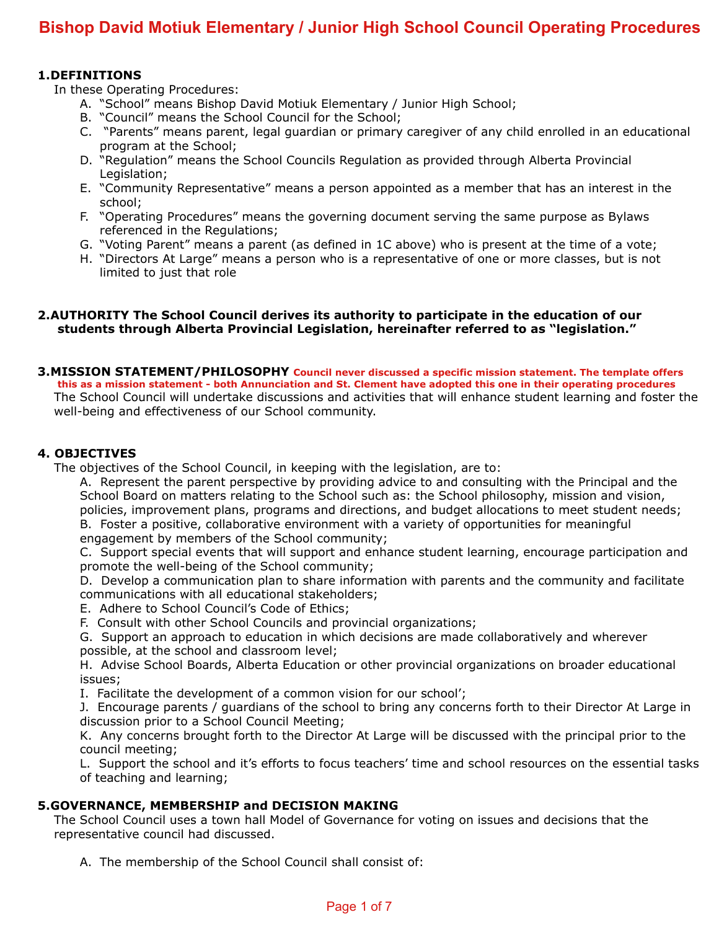# **Bishop David Motiuk Elementary / Junior High School Council Operating Procedures**

#### **1.DEFINITIONS**

In these Operating Procedures:

- A. "School" means Bishop David Motiuk Elementary / Junior High School;
- B. "Council" means the School Council for the School;
- C. "Parents" means parent, legal guardian or primary caregiver of any child enrolled in an educational program at the School;
- D. "Regulation" means the School Councils Regulation as provided through Alberta Provincial Legislation;
- E. "Community Representative" means a person appointed as a member that has an interest in the school;
- F. "Operating Procedures" means the governing document serving the same purpose as Bylaws referenced in the Regulations;
- G. "Voting Parent" means a parent (as defined in 1C above) who is present at the time of a vote;
- H. "Directors At Large" means a person who is a representative of one or more classes, but is not limited to just that role

#### **2.AUTHORITY The School Council derives its authority to participate in the education of our students through Alberta Provincial Legislation, hereinafter referred to as "legislation."**

#### **3.MISSION STATEMENT/PHILOSOPHY Council never discussed a specific mission statement. The template offers this as a mission statement - both Annunciation and St. Clement have adopted this one in their operating procedures** The School Council will undertake discussions and activities that will enhance student learning and foster the well-being and effectiveness of our School community.

# **4. OBJECTIVES**

The objectives of the School Council, in keeping with the legislation, are to:

A. Represent the parent perspective by providing advice to and consulting with the Principal and the School Board on matters relating to the School such as: the School philosophy, mission and vision, policies, improvement plans, programs and directions, and budget allocations to meet student needs; B. Foster a positive, collaborative environment with a variety of opportunities for meaningful

engagement by members of the School community;

C. Support special events that will support and enhance student learning, encourage participation and promote the well-being of the School community;

D. Develop a communication plan to share information with parents and the community and facilitate communications with all educational stakeholders;

- E. Adhere to School Council's Code of Ethics;
- F. Consult with other School Councils and provincial organizations;

G. Support an approach to education in which decisions are made collaboratively and wherever possible, at the school and classroom level;

H. Advise School Boards, Alberta Education or other provincial organizations on broader educational issues;

I. Facilitate the development of a common vision for our school';

J. Encourage parents / guardians of the school to bring any concerns forth to their Director At Large in discussion prior to a School Council Meeting;

K. Any concerns brought forth to the Director At Large will be discussed with the principal prior to the council meeting;

L. Support the school and it's efforts to focus teachers' time and school resources on the essential tasks of teaching and learning;

# **5.GOVERNANCE, MEMBERSHIP and DECISION MAKING**

The School Council uses a town hall Model of Governance for voting on issues and decisions that the representative council had discussed.

A. The membership of the School Council shall consist of: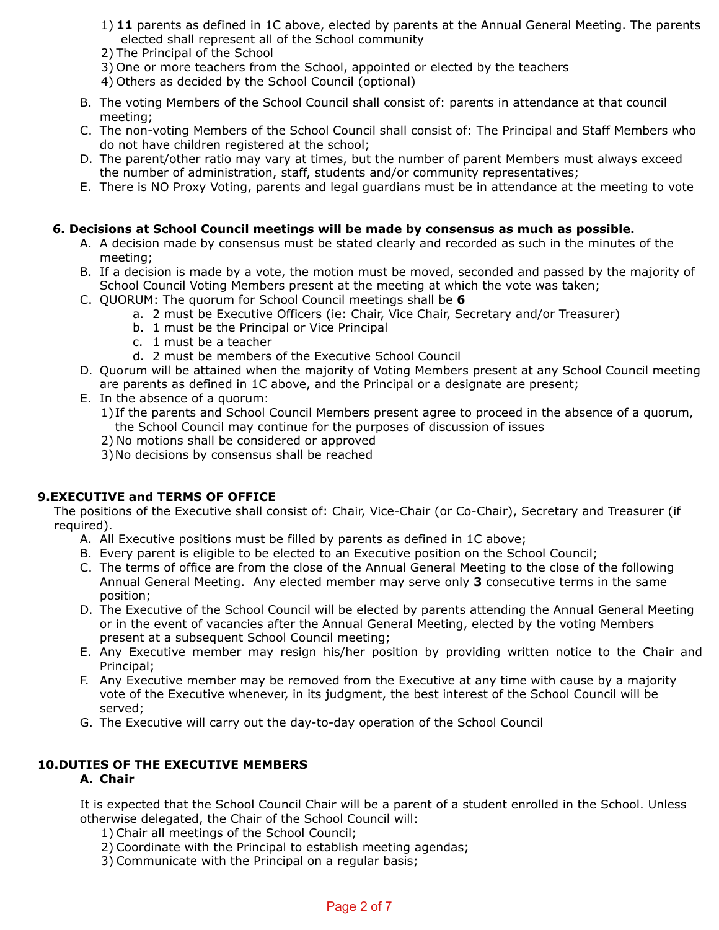- 1) **11** parents as defined in 1C above, elected by parents at the Annual General Meeting. The parents elected shall represent all of the School community
- 2) The Principal of the School
- 3) One or more teachers from the School, appointed or elected by the teachers
- 4) Others as decided by the School Council (optional)
- B. The voting Members of the School Council shall consist of: parents in attendance at that council meeting;
- C. The non-voting Members of the School Council shall consist of: The Principal and Staff Members who do not have children registered at the school;
- D. The parent/other ratio may vary at times, but the number of parent Members must always exceed the number of administration, staff, students and/or community representatives;
- E. There is NO Proxy Voting, parents and legal guardians must be in attendance at the meeting to vote

#### **6. Decisions at School Council meetings will be made by consensus as much as possible.**

- A. A decision made by consensus must be stated clearly and recorded as such in the minutes of the meeting;
- B. If a decision is made by a vote, the motion must be moved, seconded and passed by the majority of School Council Voting Members present at the meeting at which the vote was taken;
- C. QUORUM: The quorum for School Council meetings shall be **6** 
	- a. 2 must be Executive Officers (ie: Chair, Vice Chair, Secretary and/or Treasurer)
	- b. 1 must be the Principal or Vice Principal
	- c. 1 must be a teacher
	- d. 2 must be members of the Executive School Council
- D. Quorum will be attained when the majority of Voting Members present at any School Council meeting are parents as defined in 1C above, and the Principal or a designate are present;
- E. In the absence of a quorum:
	- 1)If the parents and School Council Members present agree to proceed in the absence of a quorum, the School Council may continue for the purposes of discussion of issues
	- 2) No motions shall be considered or approved
	- 3)No decisions by consensus shall be reached

#### **9.EXECUTIVE and TERMS OF OFFICE**

The positions of the Executive shall consist of: Chair, Vice-Chair (or Co-Chair), Secretary and Treasurer (if required).

- A. All Executive positions must be filled by parents as defined in 1C above;
- B. Every parent is eligible to be elected to an Executive position on the School Council;
- C. The terms of office are from the close of the Annual General Meeting to the close of the following Annual General Meeting. Any elected member may serve only **3** consecutive terms in the same position;
- D. The Executive of the School Council will be elected by parents attending the Annual General Meeting or in the event of vacancies after the Annual General Meeting, elected by the voting Members present at a subsequent School Council meeting;
- E. Any Executive member may resign his/her position by providing written notice to the Chair and Principal;
- F. Any Executive member may be removed from the Executive at any time with cause by a majority vote of the Executive whenever, in its judgment, the best interest of the School Council will be served;
- G. The Executive will carry out the day-to-day operation of the School Council

# **10.DUTIES OF THE EXECUTIVE MEMBERS**

# **A. Chair**

It is expected that the School Council Chair will be a parent of a student enrolled in the School. Unless otherwise delegated, the Chair of the School Council will:

- 1) Chair all meetings of the School Council;
- 2) Coordinate with the Principal to establish meeting agendas;
- 3) Communicate with the Principal on a regular basis;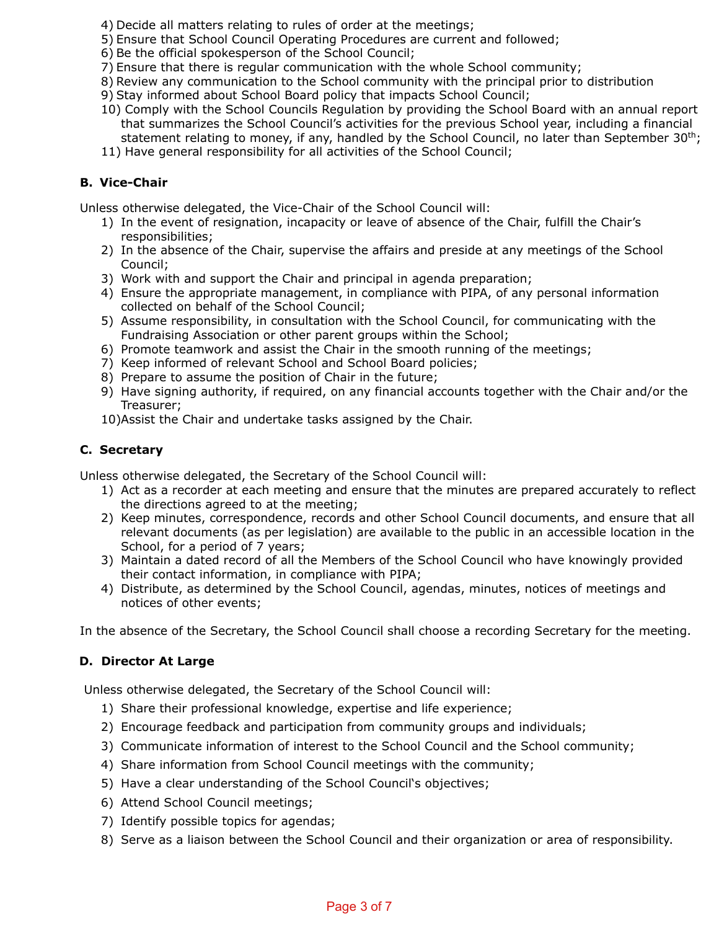- 4) Decide all matters relating to rules of order at the meetings;
- 5) Ensure that School Council Operating Procedures are current and followed;
- 6) Be the official spokesperson of the School Council;
- 7) Ensure that there is regular communication with the whole School community;
- 8) Review any communication to the School community with the principal prior to distribution
- 9) Stay informed about School Board policy that impacts School Council;
- 10) Comply with the School Councils Regulation by providing the School Board with an annual report that summarizes the School Council's activities for the previous School year, including a financial statement relating to money, if any, handled by the School Council, no later than September  $30<sup>th</sup>$ ;
- 11) Have general responsibility for all activities of the School Council;

# **B. Vice-Chair**

Unless otherwise delegated, the Vice-Chair of the School Council will:

- 1) In the event of resignation, incapacity or leave of absence of the Chair, fulfill the Chair's responsibilities;
- 2) In the absence of the Chair, supervise the affairs and preside at any meetings of the School Council;
- 3) Work with and support the Chair and principal in agenda preparation;
- 4) Ensure the appropriate management, in compliance with PIPA, of any personal information collected on behalf of the School Council;
- 5) Assume responsibility, in consultation with the School Council, for communicating with the Fundraising Association or other parent groups within the School;
- 6) Promote teamwork and assist the Chair in the smooth running of the meetings;
- 7) Keep informed of relevant School and School Board policies;
- 8) Prepare to assume the position of Chair in the future;
- 9) Have signing authority, if required, on any financial accounts together with the Chair and/or the Treasurer;
- 10)Assist the Chair and undertake tasks assigned by the Chair.

# **C. Secretary**

Unless otherwise delegated, the Secretary of the School Council will:

- 1) Act as a recorder at each meeting and ensure that the minutes are prepared accurately to reflect the directions agreed to at the meeting;
- 2) Keep minutes, correspondence, records and other School Council documents, and ensure that all relevant documents (as per legislation) are available to the public in an accessible location in the School, for a period of 7 years;
- 3) Maintain a dated record of all the Members of the School Council who have knowingly provided their contact information, in compliance with PIPA;
- 4) Distribute, as determined by the School Council, agendas, minutes, notices of meetings and notices of other events;

In the absence of the Secretary, the School Council shall choose a recording Secretary for the meeting.

# **D. Director At Large**

Unless otherwise delegated, the Secretary of the School Council will:

- 1) Share their professional knowledge, expertise and life experience;
- 2) Encourage feedback and participation from community groups and individuals;
- 3) Communicate information of interest to the School Council and the School community;
- 4) Share information from School Council meetings with the community;
- 5) Have a clear understanding of the School Council's objectives;
- 6) Attend School Council meetings;
- 7) Identify possible topics for agendas;
- 8) Serve as a liaison between the School Council and their organization or area of responsibility.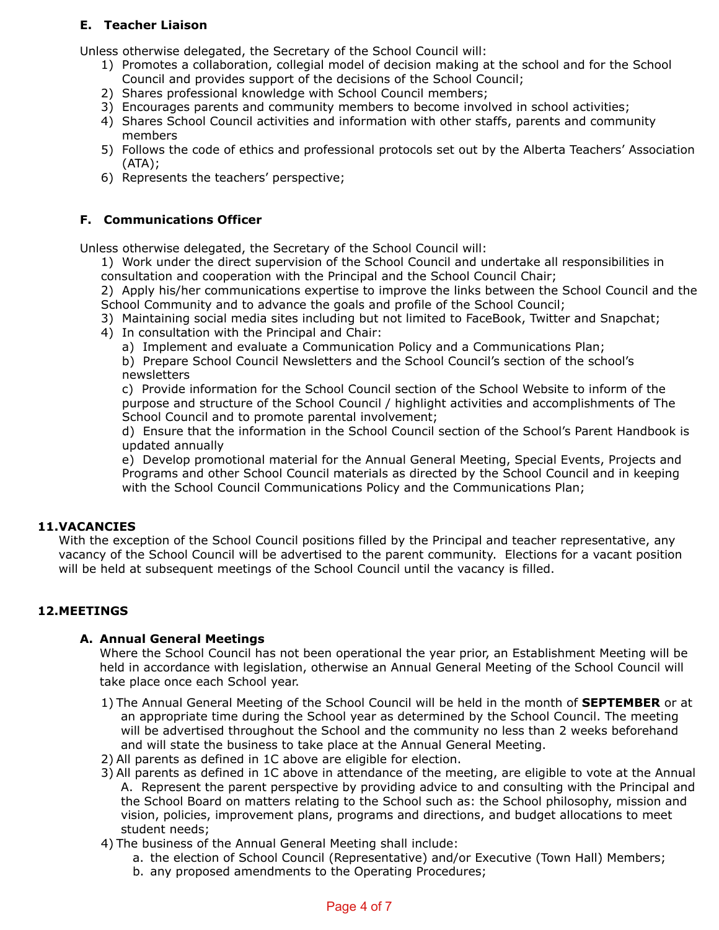# **E. Teacher Liaison**

Unless otherwise delegated, the Secretary of the School Council will:

- 1) Promotes a collaboration, collegial model of decision making at the school and for the School Council and provides support of the decisions of the School Council;
- 2) Shares professional knowledge with School Council members;
- 3) Encourages parents and community members to become involved in school activities;
- 4) Shares School Council activities and information with other staffs, parents and community members
- 5) Follows the code of ethics and professional protocols set out by the Alberta Teachers' Association (ATA);
- 6) Represents the teachers' perspective;

# **F. Communications Officer**

Unless otherwise delegated, the Secretary of the School Council will:

1) Work under the direct supervision of the School Council and undertake all responsibilities in consultation and cooperation with the Principal and the School Council Chair;

2) Apply his/her communications expertise to improve the links between the School Council and the School Community and to advance the goals and profile of the School Council;

- 3) Maintaining social media sites including but not limited to FaceBook, Twitter and Snapchat;
- 4) In consultation with the Principal and Chair:
	- a) Implement and evaluate a Communication Policy and a Communications Plan;

 b) Prepare School Council Newsletters and the School Council's section of the school's newsletters

 c) Provide information for the School Council section of the School Website to inform of the purpose and structure of the School Council / highlight activities and accomplishments of The School Council and to promote parental involvement;

 d) Ensure that the information in the School Council section of the School's Parent Handbook is updated annually

 e) Develop promotional material for the Annual General Meeting, Special Events, Projects and Programs and other School Council materials as directed by the School Council and in keeping with the School Council Communications Policy and the Communications Plan;

# **11.VACANCIES**

With the exception of the School Council positions filled by the Principal and teacher representative, any vacancy of the School Council will be advertised to the parent community. Elections for a vacant position will be held at subsequent meetings of the School Council until the vacancy is filled.

# **12.MEETINGS**

# **A. Annual General Meetings**

Where the School Council has not been operational the year prior, an Establishment Meeting will be held in accordance with legislation, otherwise an Annual General Meeting of the School Council will take place once each School year.

- 1) The Annual General Meeting of the School Council will be held in the month of **SEPTEMBER** or at an appropriate time during the School year as determined by the School Council. The meeting will be advertised throughout the School and the community no less than 2 weeks beforehand and will state the business to take place at the Annual General Meeting.
- 2) All parents as defined in 1C above are eligible for election.
- 3) All parents as defined in 1C above in attendance of the meeting, are eligible to vote at the Annual A. Represent the parent perspective by providing advice to and consulting with the Principal and the School Board on matters relating to the School such as: the School philosophy, mission and vision, policies, improvement plans, programs and directions, and budget allocations to meet student needs;
- 4) The business of the Annual General Meeting shall include:
	- a. the election of School Council (Representative) and/or Executive (Town Hall) Members;
	- b. any proposed amendments to the Operating Procedures;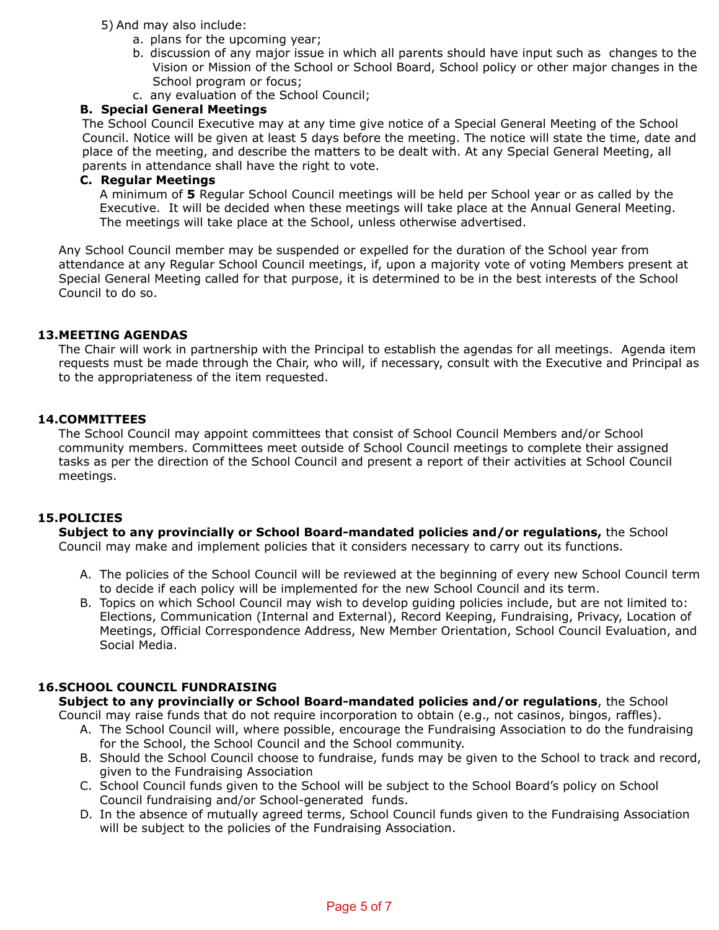5) And may also include:

- a. plans for the upcoming year;
- b. discussion of any major issue in which all parents should have input such as changes to the Vision or Mission of the School or School Board, School policy or other major changes in the School program or focus;
- c. any evaluation of the School Council;

# **B. Special General Meetings**

The School Council Executive may at any time give notice of a Special General Meeting of the School Council. Notice will be given at least 5 days before the meeting. The notice will state the time, date and place of the meeting, and describe the matters to be dealt with. At any Special General Meeting, all parents in attendance shall have the right to vote.

#### **C. Regular Meetings**

A minimum of **5** Regular School Council meetings will be held per School year or as called by the Executive. It will be decided when these meetings will take place at the Annual General Meeting. The meetings will take place at the School, unless otherwise advertised.

Any School Council member may be suspended or expelled for the duration of the School year from attendance at any Regular School Council meetings, if, upon a majority vote of voting Members present at Special General Meeting called for that purpose, it is determined to be in the best interests of the School Council to do so.

#### **13.MEETING AGENDAS**

The Chair will work in partnership with the Principal to establish the agendas for all meetings. Agenda item requests must be made through the Chair, who will, if necessary, consult with the Executive and Principal as to the appropriateness of the item requested.

#### **14.COMMITTEES**

The School Council may appoint committees that consist of School Council Members and/or School community members. Committees meet outside of School Council meetings to complete their assigned tasks as per the direction of the School Council and present a report of their activities at School Council meetings.

#### **15.POLICIES**

**Subject to any provincially or School Board-mandated policies and/or regulations,** the School Council may make and implement policies that it considers necessary to carry out its functions.

- A. The policies of the School Council will be reviewed at the beginning of every new School Council term to decide if each policy will be implemented for the new School Council and its term.
- B. Topics on which School Council may wish to develop guiding policies include, but are not limited to: Elections, Communication (Internal and External), Record Keeping, Fundraising, Privacy, Location of Meetings, Official Correspondence Address, New Member Orientation, School Council Evaluation, and Social Media.

#### **16.SCHOOL COUNCIL FUNDRAISING**

**Subject to any provincially or School Board-mandated policies and/or regulations**, the School

Council may raise funds that do not require incorporation to obtain (e.g., not casinos, bingos, raffles).

- A. The School Council will, where possible, encourage the Fundraising Association to do the fundraising for the School, the School Council and the School community.
- B. Should the School Council choose to fundraise, funds may be given to the School to track and record, given to the Fundraising Association
- C. School Council funds given to the School will be subject to the School Board's policy on School Council fundraising and/or School-generated funds.
- D. In the absence of mutually agreed terms, School Council funds given to the Fundraising Association will be subject to the policies of the Fundraising Association.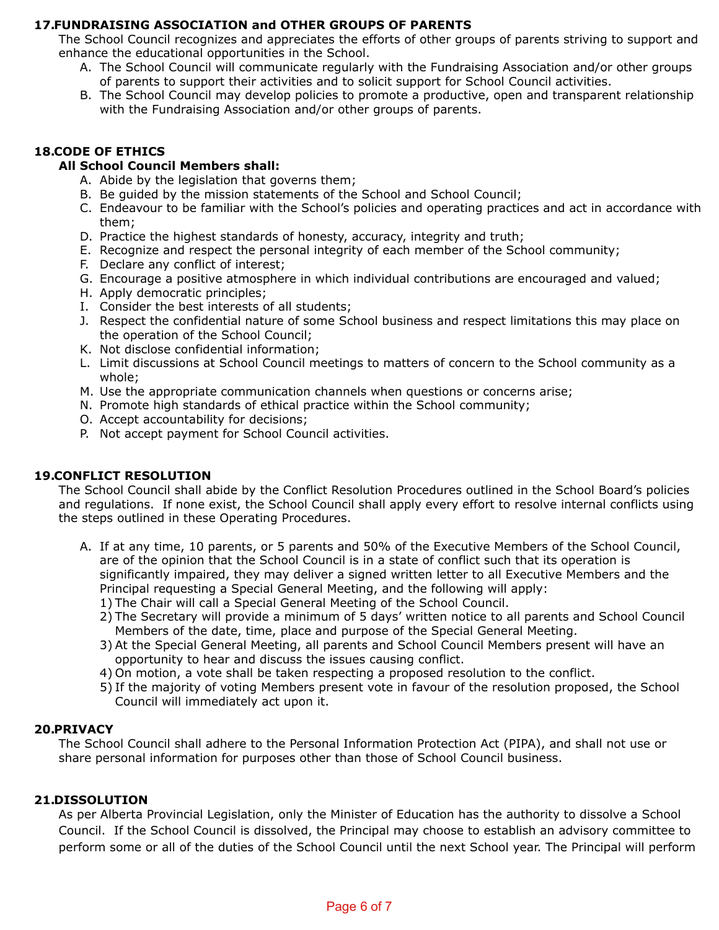# **17.FUNDRAISING ASSOCIATION and OTHER GROUPS OF PARENTS**

The School Council recognizes and appreciates the efforts of other groups of parents striving to support and enhance the educational opportunities in the School.

- A. The School Council will communicate regularly with the Fundraising Association and/or other groups of parents to support their activities and to solicit support for School Council activities.
- B. The School Council may develop policies to promote a productive, open and transparent relationship with the Fundraising Association and/or other groups of parents.

# **18.CODE OF ETHICS**

#### **All School Council Members shall:**

- A. Abide by the legislation that governs them;
- B. Be guided by the mission statements of the School and School Council;
- C. Endeavour to be familiar with the School's policies and operating practices and act in accordance with them;
- D. Practice the highest standards of honesty, accuracy, integrity and truth;
- E. Recognize and respect the personal integrity of each member of the School community;
- F. Declare any conflict of interest;
- G. Encourage a positive atmosphere in which individual contributions are encouraged and valued;
- H. Apply democratic principles;
- I. Consider the best interests of all students;
- J. Respect the confidential nature of some School business and respect limitations this may place on the operation of the School Council;
- K. Not disclose confidential information;
- L. Limit discussions at School Council meetings to matters of concern to the School community as a whole;
- M. Use the appropriate communication channels when questions or concerns arise;
- N. Promote high standards of ethical practice within the School community;
- O. Accept accountability for decisions;
- P. Not accept payment for School Council activities.

# **19.CONFLICT RESOLUTION**

The School Council shall abide by the Conflict Resolution Procedures outlined in the School Board's policies and regulations. If none exist, the School Council shall apply every effort to resolve internal conflicts using the steps outlined in these Operating Procedures.

- A. If at any time, 10 parents, or 5 parents and 50% of the Executive Members of the School Council, are of the opinion that the School Council is in a state of conflict such that its operation is significantly impaired, they may deliver a signed written letter to all Executive Members and the Principal requesting a Special General Meeting, and the following will apply:
	- 1) The Chair will call a Special General Meeting of the School Council.
	- 2) The Secretary will provide a minimum of 5 days' written notice to all parents and School Council Members of the date, time, place and purpose of the Special General Meeting.
	- 3) At the Special General Meeting, all parents and School Council Members present will have an opportunity to hear and discuss the issues causing conflict.
	- 4) On motion, a vote shall be taken respecting a proposed resolution to the conflict.
	- 5) If the majority of voting Members present vote in favour of the resolution proposed, the School Council will immediately act upon it.

#### **20.PRIVACY**

The School Council shall adhere to the Personal Information Protection Act (PIPA), and shall not use or share personal information for purposes other than those of School Council business.

#### **21.DISSOLUTION**

As per Alberta Provincial Legislation, only the Minister of Education has the authority to dissolve a School Council. If the School Council is dissolved, the Principal may choose to establish an advisory committee to perform some or all of the duties of the School Council until the next School year. The Principal will perform